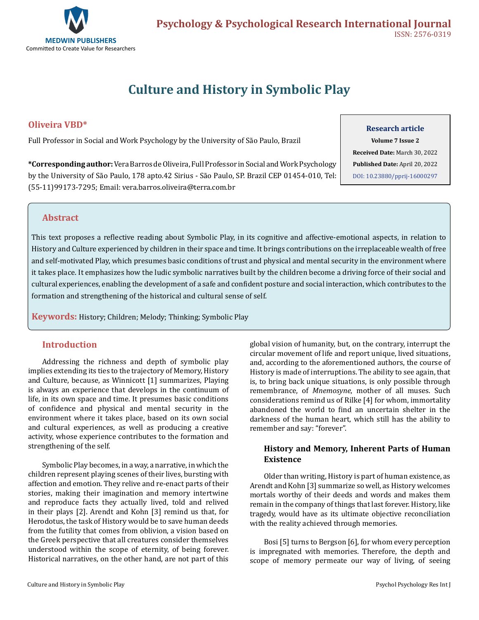

# **Culture and History in Symbolic Play**

## **Oliveira VBD\***

Full Professor in Social and Work Psychology by the University of São Paulo, Brazil

**Research article Volume 7 Issue 2 Received Date:** March 30, 2022

**Published Date:** April 20, 2022 [DOI: 10.23880/pprij-16000297](https://doi.org/10.23880/pprij-16000297)

**\*Corresponding author:** Vera Barros de Oliveira, Full Professor in Social and Work Psychology by the University of São Paulo, 178 apto.42 Sirius - São Paulo, SP. Brazil CEP 01454-010, Tel: (55-11)99173-7295; Email: vera.barros.oliveira@terra.com.br

## **Abstract**

This text proposes a reflective reading about Symbolic Play, in its cognitive and affective-emotional aspects, in relation to History and Culture experienced by children in their space and time. It brings contributions on the irreplaceable wealth of free and self-motivated Play, which presumes basic conditions of trust and physical and mental security in the environment where it takes place. It emphasizes how the ludic symbolic narratives built by the children become a driving force of their social and cultural experiences, enabling the development of a safe and confident posture and social interaction, which contributes to the formation and strengthening of the historical and cultural sense of self.

**Keywords:** History; Children; Melody; Thinking; Symbolic Play

## **Introduction**

Addressing the richness and depth of symbolic play implies extending its ties to the trajectory of Memory, History and Culture, because, as Winnicott [1] summarizes, Playing is always an experience that develops in the continuum of life, in its own space and time. It presumes basic conditions of confidence and physical and mental security in the environment where it takes place, based on its own social and cultural experiences, as well as producing a creative activity, whose experience contributes to the formation and strengthening of the self.

Symbolic Play becomes, in a way, a narrative, in which the children represent playing scenes of their lives, bursting with affection and emotion. They relive and re-enact parts of their stories, making their imagination and memory intertwine and reproduce facts they actually lived, told and relived in their plays [2]. Arendt and Kohn [3] remind us that, for Herodotus, the task of History would be to save human deeds from the futility that comes from oblivion, a vision based on the Greek perspective that all creatures consider themselves understood within the scope of eternity, of being forever. Historical narratives, on the other hand, are not part of this global vision of humanity, but, on the contrary, interrupt the circular movement of life and report unique, lived situations, and, according to the aforementioned authors, the course of History is made of interruptions. The ability to see again, that is, to bring back unique situations, is only possible through remembrance, of *Mnemosyne*, mother of all muses. Such considerations remind us of Rilke [4] for whom, immortality abandoned the world to find an uncertain shelter in the darkness of the human heart, which still has the ability to remember and say: "forever".

# **History and Memory, Inherent Parts of Human Existence**

Older than writing, History is part of human existence, as Arendt and Kohn [3] summarize so well, as History welcomes mortals worthy of their deeds and words and makes them remain in the company of things that last forever. History, like tragedy, would have as its ultimate objective reconciliation with the reality achieved through memories.

Bosi [5] turns to Bergson [6], for whom every perception is impregnated with memories. Therefore, the depth and scope of memory permeate our way of living, of seeing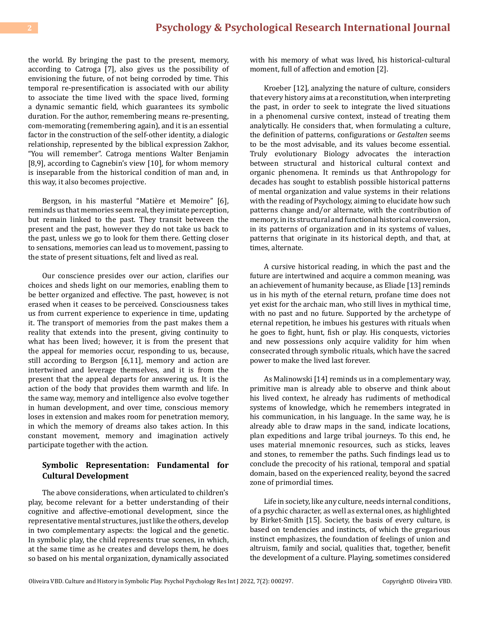the world. By bringing the past to the present, memory, according to Catroga [7], also gives us the possibility of envisioning the future, of not being corroded by time. This temporal re-presentification is associated with our ability to associate the time lived with the space lived, forming a dynamic semantic field, which guarantees its symbolic duration. For the author, remembering means re-presenting, com-memorating (remembering again), and it is an essential factor in the construction of the self-other identity, a dialogic relationship, represented by the biblical expression Zakhor, "You will remember". Catroga mentions Walter Benjamin [8,9], according to Cagnebin's view [10], for whom memory is inseparable from the historical condition of man and, in this way, it also becomes projective.

Bergson, in his masterful "Matière et Memoire" [6], reminds us that memories seem real, they imitate perception, but remain linked to the past. They transit between the present and the past, however they do not take us back to the past, unless we go to look for them there. Getting closer to sensations, memories can lead us to movement, passing to the state of present situations, felt and lived as real.

Our conscience presides over our action, clarifies our choices and sheds light on our memories, enabling them to be better organized and effective. The past, however, is not erased when it ceases to be perceived. Consciousness takes us from current experience to experience in time, updating it. The transport of memories from the past makes them a reality that extends into the present, giving continuity to what has been lived; however, it is from the present that the appeal for memories occur, responding to us, because, still according to Bergson [6,11], memory and action are intertwined and leverage themselves, and it is from the present that the appeal departs for answering us. It is the action of the body that provides them warmth and life. In the same way, memory and intelligence also evolve together in human development, and over time, conscious memory loses in extension and makes room for penetration memory, in which the memory of dreams also takes action. In this constant movement, memory and imagination actively participate together with the action.

#### **Symbolic Representation: Fundamental for Cultural Development**

The above considerations, when articulated to children's play, become relevant for a better understanding of their cognitive and affective-emotional development, since the representative mental structures, just like the others, develop in two complementary aspects: the logical and the genetic. In symbolic play, the child represents true scenes, in which, at the same time as he creates and develops them, he does so based on his mental organization, dynamically associated with his memory of what was lived, his historical-cultural moment, full of affection and emotion [2].

Kroeber [12], analyzing the nature of culture, considers that every history aims at a reconstitution, when interpreting the past, in order to seek to integrate the lived situations in a phenomenal cursive context, instead of treating them analytically. He considers that, when formulating a culture, the definition of patterns, configurations or *Gestalten* seems to be the most advisable, and its values become essential. Truly evolutionary Biology advocates the interaction between structural and historical cultural context and organic phenomena. It reminds us that Anthropology for decades has sought to establish possible historical patterns of mental organization and value systems in their relations with the reading of Psychology, aiming to elucidate how such patterns change and/or alternate, with the contribution of memory, in its structural and functional historical conversion, in its patterns of organization and in its systems of values, patterns that originate in its historical depth, and that, at times, alternate.

A cursive historical reading, in which the past and the future are intertwined and acquire a common meaning, was an achievement of humanity because, as Eliade [13] reminds us in his myth of the eternal return, profane time does not yet exist for the archaic man, who still lives in mythical time, with no past and no future. Supported by the archetype of eternal repetition, he imbues his gestures with rituals when he goes to fight, hunt, fish or play. His conquests, victories and new possessions only acquire validity for him when consecrated through symbolic rituals, which have the sacred power to make the lived last forever.

As Malinowski [14] reminds us in a complementary way, primitive man is already able to observe and think about his lived context, he already has rudiments of methodical systems of knowledge, which he remembers integrated in his communication, in his language. In the same way, he is already able to draw maps in the sand, indicate locations, plan expeditions and large tribal journeys. To this end, he uses material mnemonic resources, such as sticks, leaves and stones, to remember the paths. Such findings lead us to conclude the precocity of his rational, temporal and spatial domain, based on the experienced reality, beyond the sacred zone of primordial times.

Life in society, like any culture, needs internal conditions, of a psychic character, as well as external ones, as highlighted by Birket-Smith [15]. Society, the basis of every culture, is based on tendencies and instincts, of which the gregarious instinct emphasizes, the foundation of feelings of union and altruism, family and social, qualities that, together, benefit the development of a culture. Playing, sometimes considered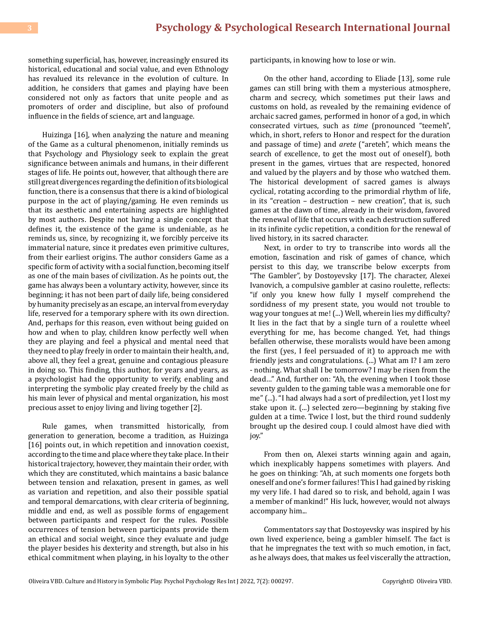something superficial, has, however, increasingly ensured its historical, educational and social value, and even Ethnology has revalued its relevance in the evolution of culture. In addition, he considers that games and playing have been considered not only as factors that unite people and as promoters of order and discipline, but also of profound influence in the fields of science, art and language.

Huizinga [16], when analyzing the nature and meaning of the Game as a cultural phenomenon, initially reminds us that Psychology and Physiology seek to explain the great significance between animals and humans, in their different stages of life. He points out, however, that although there are still great divergences regarding the definition of its biological function, there is a consensus that there is a kind of biological purpose in the act of playing/gaming. He even reminds us that its aesthetic and entertaining aspects are highlighted by most authors. Despite not having a single concept that defines it, the existence of the game is undeniable, as he reminds us, since, by recognizing it, we forcibly perceive its immaterial nature, since it predates even primitive cultures, from their earliest origins. The author considers Game as a specific form of activity with a social function, becoming itself as one of the main bases of civilization. As he points out, the game has always been a voluntary activity, however, since its beginning; it has not been part of daily life, being considered by humanity precisely as an escape, an interval from everyday life, reserved for a temporary sphere with its own direction. And, perhaps for this reason, even without being guided on how and when to play, children know perfectly well when they are playing and feel a physical and mental need that they need to play freely in order to maintain their health, and, above all, they feel a great, genuine and contagious pleasure in doing so. This finding, this author, for years and years, as a psychologist had the opportunity to verify, enabling and interpreting the symbolic play created freely by the child as his main lever of physical and mental organization, his most precious asset to enjoy living and living together [2].

Rule games, when transmitted historically, from generation to generation, become a tradition, as Huizinga [16] points out, in which repetition and innovation coexist, according to the time and place where they take place. In their historical trajectory, however, they maintain their order, with which they are constituted, which maintains a basic balance between tension and relaxation, present in games, as well as variation and repetition, and also their possible spatial and temporal demarcations, with clear criteria of beginning, middle and end, as well as possible forms of engagement between participants and respect for the rules. Possible occurrences of tension between participants provide them an ethical and social weight, since they evaluate and judge the player besides his dexterity and strength, but also in his ethical commitment when playing, in his loyalty to the other participants, in knowing how to lose or win.

On the other hand, according to Eliade [13], some rule games can still bring with them a mysterious atmosphere, charm and secrecy, which sometimes put their laws and customs on hold, as revealed by the remaining evidence of archaic sacred games, performed in honor of a god, in which consecrated virtues, such as *time* (pronounced "teemeh", which, in short, refers to Honor and respect for the duration and passage of time) and *arete* ("areteh", which means the search of excellence, to get the most out of oneself), both present in the games, virtues that are respected, honored and valued by the players and by those who watched them. The historical development of sacred games is always cyclical, rotating according to the primordial rhythm of life, in its "creation – destruction – new creation", that is, such games at the dawn of time, already in their wisdom, favored the renewal of life that occurs with each destruction suffered in its infinite cyclic repetition, a condition for the renewal of lived history, in its sacred character.

Next, in order to try to transcribe into words all the emotion, fascination and risk of games of chance, which persist to this day, we transcribe below excerpts from "The Gambler", by Dostoyevsky [17]. The character, Alexei Ivanovich, a compulsive gambler at casino roulette, reflects: "if only you knew how fully I myself comprehend the sordidness of my present state, you would not trouble to wag your tongues at me! (...) Well, wherein lies my difficulty? It lies in the fact that by a single turn of a roulette wheel everything for me, has become changed. Yet, had things befallen otherwise, these moralists would have been among the first (yes, I feel persuaded of it) to approach me with friendly jests and congratulations. (...) What am I? I am zero - nothing. What shall I be tomorrow? I may be risen from the dead…" And, further on: "Ah, the evening when I took those seventy gulden to the gaming table was a memorable one for me" (...). "I had always had a sort of predilection, yet I lost my stake upon it. (...) selected zero—beginning by staking five gulden at a time. Twice I lost, but the third round suddenly brought up the desired coup. I could almost have died with joy."

From then on, Alexei starts winning again and again, which inexplicably happens sometimes with players. And he goes on thinking: "Ah, at such moments one forgets both oneself and one's former failures! This I had gained by risking my very life. I had dared so to risk, and behold, again I was a member of mankind!" His luck, however, would not always accompany him...

Commentators say that Dostoyevsky was inspired by his own lived experience, being a gambler himself. The fact is that he impregnates the text with so much emotion, in fact, as he always does, that makes us feel viscerally the attraction,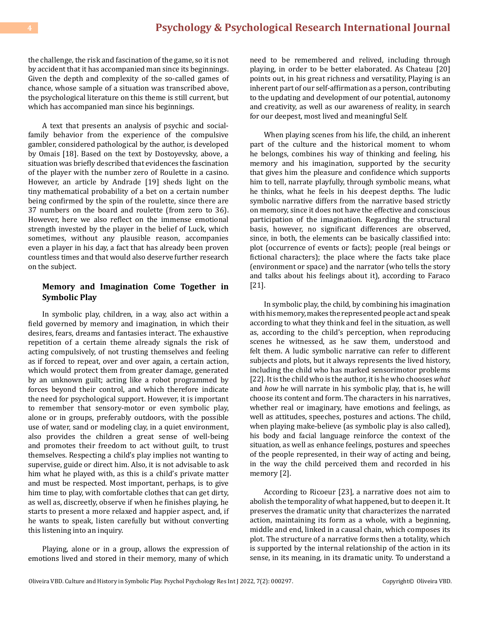the challenge, the risk and fascination of the game, so it is not by accident that it has accompanied man since its beginnings. Given the depth and complexity of the so-called games of chance, whose sample of a situation was transcribed above, the psychological literature on this theme is still current, but which has accompanied man since his beginnings.

A text that presents an analysis of psychic and socialfamily behavior from the experience of the compulsive gambler, considered pathological by the author, is developed by Omais [18]. Based on the text by Dostoyevsky, above, a situation was briefly described that evidences the fascination of the player with the number zero of Roulette in a casino. However, an article by Andrade [19] sheds light on the tiny mathematical probability of a bet on a certain number being confirmed by the spin of the roulette, since there are 37 numbers on the board and roulette (from zero to 36). However, here we also reflect on the immense emotional strength invested by the player in the belief of Luck, which sometimes, without any plausible reason, accompanies even a player in his day, a fact that has already been proven countless times and that would also deserve further research on the subject.

## **Memory and Imagination Come Together in Symbolic Play**

In symbolic play, children, in a way, also act within a field governed by memory and imagination, in which their desires, fears, dreams and fantasies interact. The exhaustive repetition of a certain theme already signals the risk of acting compulsively, of not trusting themselves and feeling as if forced to repeat, over and over again, a certain action, which would protect them from greater damage, generated by an unknown guilt; acting like a robot programmed by forces beyond their control, and which therefore indicate the need for psychological support. However, it is important to remember that sensory-motor or even symbolic play, alone or in groups, preferably outdoors, with the possible use of water, sand or modeling clay, in a quiet environment, also provides the children a great sense of well-being and promotes their freedom to act without guilt, to trust themselves. Respecting a child's play implies not wanting to supervise, guide or direct him. Also, it is not advisable to ask him what he played with, as this is a child's private matter and must be respected. Most important, perhaps, is to give him time to play, with comfortable clothes that can get dirty, as well as, discreetly, observe if when he finishes playing, he starts to present a more relaxed and happier aspect, and, if he wants to speak, listen carefully but without converting this listening into an inquiry.

Playing, alone or in a group, allows the expression of emotions lived and stored in their memory, many of which

need to be remembered and relived, including through playing, in order to be better elaborated. As Chateau [20] points out, in his great richness and versatility, Playing is an inherent part of our self-affirmation as a person, contributing to the updating and development of our potential, autonomy and creativity, as well as our awareness of reality, in search for our deepest, most lived and meaningful Self.

When playing scenes from his life, the child, an inherent part of the culture and the historical moment to whom he belongs, combines his way of thinking and feeling, his memory and his imagination, supported by the security that gives him the pleasure and confidence which supports him to tell, narrate playfully, through symbolic means, what he thinks, what he feels in his deepest depths. The ludic symbolic narrative differs from the narrative based strictly on memory, since it does not have the effective and conscious participation of the imagination. Regarding the structural basis, however, no significant differences are observed, since, in both, the elements can be basically classified into: plot (occurrence of events or facts); people (real beings or fictional characters); the place where the facts take place (environment or space) and the narrator (who tells the story and talks about his feelings about it), according to Faraco [21].

In symbolic play, the child, by combining his imagination with his memory, makes the represented people act and speak according to what they think and feel in the situation, as well as, according to the child's perception, when reproducing scenes he witnessed, as he saw them, understood and felt them. A ludic symbolic narrative can refer to different subjects and plots, but it always represents the lived history, including the child who has marked sensorimotor problems [22]. It is the child who is the author, it is he who chooses *what* and *how* he will narrate in his symbolic play, that is, he will choose its content and form. The characters in his narratives, whether real or imaginary, have emotions and feelings, as well as attitudes, speeches, postures and actions. The child, when playing make-believe (as symbolic play is also called), his body and facial language reinforce the context of the situation, as well as enhance feelings, postures and speeches of the people represented, in their way of acting and being, in the way the child perceived them and recorded in his memory [2].

According to Ricoeur [23], a narrative does not aim to abolish the temporality of what happened, but to deepen it. It preserves the dramatic unity that characterizes the narrated action, maintaining its form as a whole, with a beginning, middle and end, linked in a causal chain, which composes its plot. The structure of a narrative forms then a totality, which is supported by the internal relationship of the action in its sense, in its meaning, in its dramatic unity. To understand a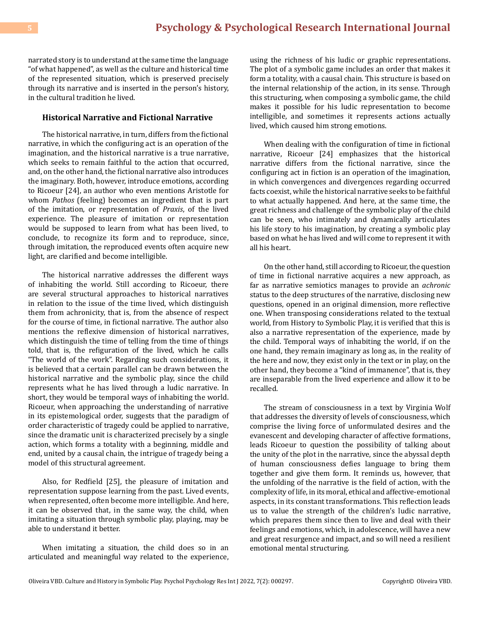narrated story is to understand at the same time the language "of what happened", as well as the culture and historical time of the represented situation, which is preserved precisely through its narrative and is inserted in the person's history, in the cultural tradition he lived.

#### **Historical Narrative and Fictional Narrative**

The historical narrative, in turn, differs from the fictional narrative, in which the configuring act is an operation of the imagination, and the historical narrative is a true narrative, which seeks to remain faithful to the action that occurred, and, on the other hand, the fictional narrative also introduces the imaginary. Both, however, introduce emotions, according to Ricoeur [24], an author who even mentions Aristotle for whom *Pathos* (feeling) becomes an ingredient that is part of the imitation, or representation of *Praxis*, of the lived experience. The pleasure of imitation or representation would be supposed to learn from what has been lived, to conclude, to recognize its form and to reproduce, since, through imitation, the reproduced events often acquire new light, are clarified and become intelligible.

The historical narrative addresses the different ways of inhabiting the world. Still according to Ricoeur, there are several structural approaches to historical narratives in relation to the issue of the time lived, which distinguish them from achronicity, that is, from the absence of respect for the course of time, in fictional narrative. The author also mentions the reflexive dimension of historical narratives, which distinguish the time of telling from the time of things told, that is, the refiguration of the lived, which he calls "The world of the work". Regarding such considerations, it is believed that a certain parallel can be drawn between the historical narrative and the symbolic play, since the child represents what he has lived through a ludic narrative. In short, they would be temporal ways of inhabiting the world. Ricoeur, when approaching the understanding of narrative in its epistemological order, suggests that the paradigm of order characteristic of tragedy could be applied to narrative, since the dramatic unit is characterized precisely by a single action, which forms a totality with a beginning, middle and end, united by a causal chain, the intrigue of tragedy being a model of this structural agreement.

Also, for Redfield [25], the pleasure of imitation and representation suppose learning from the past. Lived events, when represented, often become more intelligible. And here, it can be observed that, in the same way, the child, when imitating a situation through symbolic play, playing, may be able to understand it better.

When imitating a situation, the child does so in an articulated and meaningful way related to the experience,

using the richness of his ludic or graphic representations. The plot of a symbolic game includes an order that makes it form a totality, with a causal chain. This structure is based on the internal relationship of the action, in its sense. Through this structuring, when composing a symbolic game, the child makes it possible for his ludic representation to become intelligible, and sometimes it represents actions actually lived, which caused him strong emotions.

When dealing with the configuration of time in fictional narrative, Ricoeur [24] emphasizes that the historical narrative differs from the fictional narrative, since the configuring act in fiction is an operation of the imagination, in which convergences and divergences regarding occurred facts coexist, while the historical narrative seeks to be faithful to what actually happened. And here, at the same time, the great richness and challenge of the symbolic play of the child can be seen, who intimately and dynamically articulates his life story to his imagination, by creating a symbolic play based on what he has lived and will come to represent it with all his heart.

On the other hand, still according to Ricoeur, the question of time in fictional narrative acquires a new approach, as far as narrative semiotics manages to provide an *achronic* status to the deep structures of the narrative, disclosing new questions, opened in an original dimension, more reflective one. When transposing considerations related to the textual world, from History to Symbolic Play, it is verified that this is also a narrative representation of the experience, made by the child. Temporal ways of inhabiting the world, if on the one hand, they remain imaginary as long as, in the reality of the here and now, they exist only in the text or in play, on the other hand, they become a "kind of immanence", that is, they are inseparable from the lived experience and allow it to be recalled.

The stream of consciousness in a text by Virginia Wolf that addresses the diversity of levels of consciousness, which comprise the living force of unformulated desires and the evanescent and developing character of affective formations, leads Ricoeur to question the possibility of talking about the unity of the plot in the narrative, since the abyssal depth of human consciousness defies language to bring them together and give them form. It reminds us, however, that the unfolding of the narrative is the field of action, with the complexity of life, in its moral, ethical and affective-emotional aspects, in its constant transformations. This reflection leads us to value the strength of the children's ludic narrative, which prepares them since then to live and deal with their feelings and emotions, which, in adolescence, will have a new and great resurgence and impact, and so will need a resilient emotional mental structuring.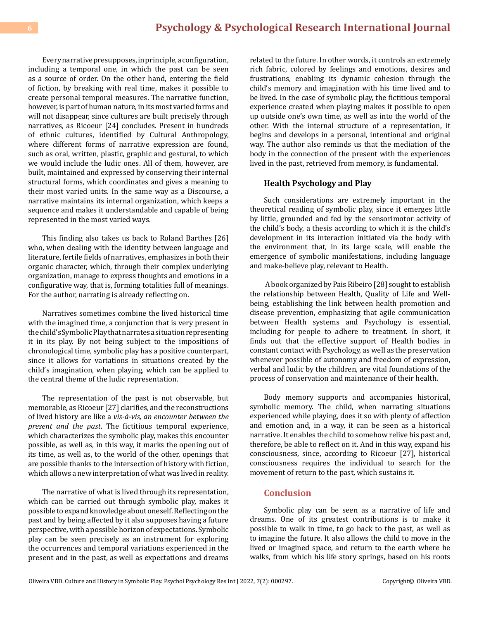Every narrative presupposes, in principle, a configuration, including a temporal one, in which the past can be seen as a source of order. On the other hand, entering the field of fiction, by breaking with real time, makes it possible to create personal temporal measures. The narrative function, however, is part of human nature, in its most varied forms and will not disappear, since cultures are built precisely through narratives, as Ricoeur [24] concludes. Present in hundreds of ethnic cultures, identified by Cultural Anthropology, where different forms of narrative expression are found, such as oral, written, plastic, graphic and gestural, to which we would include the ludic ones. All of them, however, are built, maintained and expressed by conserving their internal structural forms, which coordinates and gives a meaning to their most varied units. In the same way as a Discourse, a narrative maintains its internal organization, which keeps a sequence and makes it understandable and capable of being represented in the most varied ways.

This finding also takes us back to Roland Barthes [26] who, when dealing with the identity between language and literature, fertile fields of narratives, emphasizes in both their organic character, which, through their complex underlying organization, manage to express thoughts and emotions in a configurative way, that is, forming totalities full of meanings. For the author, narrating is already reflecting on.

Narratives sometimes combine the lived historical time with the imagined time, a conjunction that is very present in the child's Symbolic Play that narrates a situation representing it in its play. By not being subject to the impositions of chronological time, symbolic play has a positive counterpart, since it allows for variations in situations created by the child's imagination, when playing, which can be applied to the central theme of the ludic representation.

The representation of the past is not observable, but memorable, as Ricoeur [27] clarifies, and the reconstructions of lived history are like a *vis-à-vis, an encounter between the present and the past*. The fictitious temporal experience, which characterizes the symbolic play, makes this encounter possible, as well as, in this way, it marks the opening out of its time, as well as, to the world of the other, openings that are possible thanks to the intersection of history with fiction, which allows a new interpretation of what was lived in reality.

The narrative of what is lived through its representation, which can be carried out through symbolic play, makes it possible to expand knowledge about oneself. Reflecting on the past and by being affected by it also supposes having a future perspective, with a possible horizon of expectations. Symbolic play can be seen precisely as an instrument for exploring the occurrences and temporal variations experienced in the present and in the past, as well as expectations and dreams

related to the future. In other words, it controls an extremely rich fabric, colored by feelings and emotions, desires and frustrations, enabling its dynamic cohesion through the child's memory and imagination with his time lived and to be lived. In the case of symbolic play, the fictitious temporal experience created when playing makes it possible to open up outside one's own time, as well as into the world of the other. With the internal structure of a representation, it begins and develops in a personal, intentional and original way. The author also reminds us that the mediation of the body in the connection of the present with the experiences lived in the past, retrieved from memory, is fundamental.

#### **Health Psychology and Play**

Such considerations are extremely important in the theoretical reading of symbolic play, since it emerges little by little, grounded and fed by the sensorimotor activity of the child's body, a thesis according to which it is the child's development in its interaction initiated via the body with the environment that, in its large scale, will enable the emergence of symbolic manifestations, including language and make-believe play, relevant to Health.

 A book organized by Pais Ribeiro [28] sought to establish the relationship between Health, Quality of Life and Wellbeing, establishing the link between health promotion and disease prevention, emphasizing that agile communication between Health systems and Psychology is essential, including for people to adhere to treatment. In short, it finds out that the effective support of Health bodies in constant contact with Psychology, as well as the preservation whenever possible of autonomy and freedom of expression, verbal and ludic by the children, are vital foundations of the process of conservation and maintenance of their health.

Body memory supports and accompanies historical, symbolic memory. The child, when narrating situations experienced while playing, does it so with plenty of affection and emotion and, in a way, it can be seen as a historical narrative. It enables the child to somehow relive his past and, therefore, be able to reflect on it. And in this way, expand his consciousness, since, according to Ricoeur [27], historical consciousness requires the individual to search for the movement of return to the past, which sustains it.

#### **Conclusion**

Symbolic play can be seen as a narrative of life and dreams. One of its greatest contributions is to make it possible to walk in time, to go back to the past, as well as to imagine the future. It also allows the child to move in the lived or imagined space, and return to the earth where he walks, from which his life story springs, based on his roots